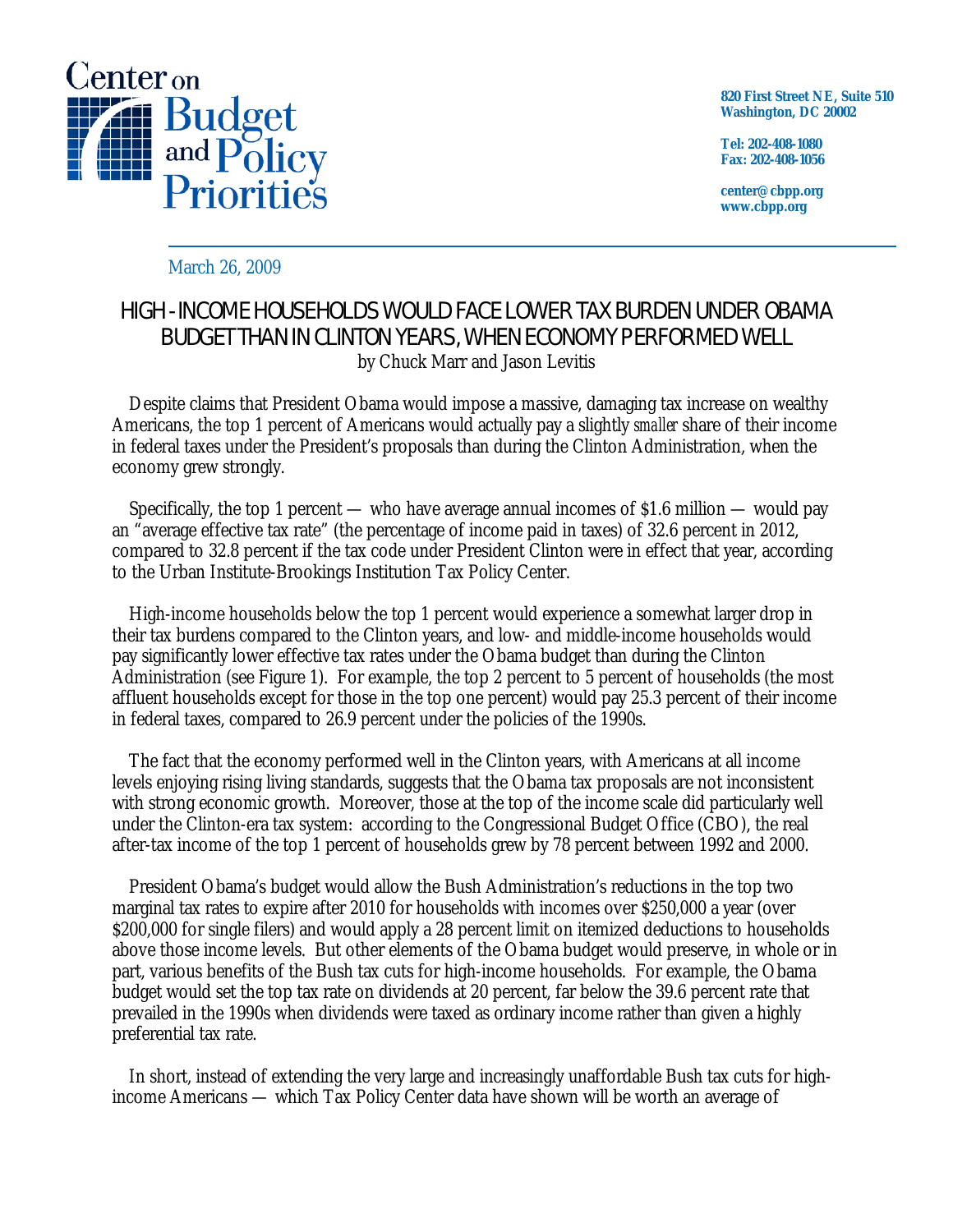

**820 First Street NE, Suite 510 Washington, DC 20002** 

**Tel: 202-408-1080 Fax: 202-408-1056** 

**center@cbpp.org www.cbpp.org** 

March 26, 2009

## HIGH - INCOME HOUSEHOLDS WOULD FACE LOWER TAX BURDEN UNDER OBAMA BUDGET THAN IN CLINTON YEARS, WHEN ECONOMY PERFORMED WELL by Chuck Marr and Jason Levitis

Despite claims that President Obama would impose a massive, damaging tax increase on wealthy Americans, the top 1 percent of Americans would actually pay a slightly *smaller* share of their income in federal taxes under the President's proposals than during the Clinton Administration, when the economy grew strongly.

Specifically, the top 1 percent — who have average annual incomes of \$1.6 million — would pay an "average effective tax rate" (the percentage of income paid in taxes) of 32.6 percent in 2012, compared to 32.8 percent if the tax code under President Clinton were in effect that year, according to the Urban Institute-Brookings Institution Tax Policy Center.

High-income households below the top 1 percent would experience a somewhat larger drop in their tax burdens compared to the Clinton years, and low- and middle-income households would pay significantly lower effective tax rates under the Obama budget than during the Clinton Administration (see Figure 1). For example, the top 2 percent to 5 percent of households (the most affluent households except for those in the top one percent) would pay 25.3 percent of their income in federal taxes, compared to 26.9 percent under the policies of the 1990s.

The fact that the economy performed well in the Clinton years, with Americans at all income levels enjoying rising living standards, suggests that the Obama tax proposals are not inconsistent with strong economic growth. Moreover, those at the top of the income scale did particularly well under the Clinton-era tax system: according to the Congressional Budget Office (CBO), the real after-tax income of the top 1 percent of households grew by 78 percent between 1992 and 2000.

President Obama's budget would allow the Bush Administration's reductions in the top two marginal tax rates to expire after 2010 for households with incomes over \$250,000 a year (over \$200,000 for single filers) and would apply a 28 percent limit on itemized deductions to households above those income levels. But other elements of the Obama budget would preserve, in whole or in part, various benefits of the Bush tax cuts for high-income households. For example, the Obama budget would set the top tax rate on dividends at 20 percent, far below the 39.6 percent rate that prevailed in the 1990s when dividends were taxed as ordinary income rather than given a highly preferential tax rate.

In short, instead of extending the very large and increasingly unaffordable Bush tax cuts for highincome Americans — which Tax Policy Center data have shown will be worth an average of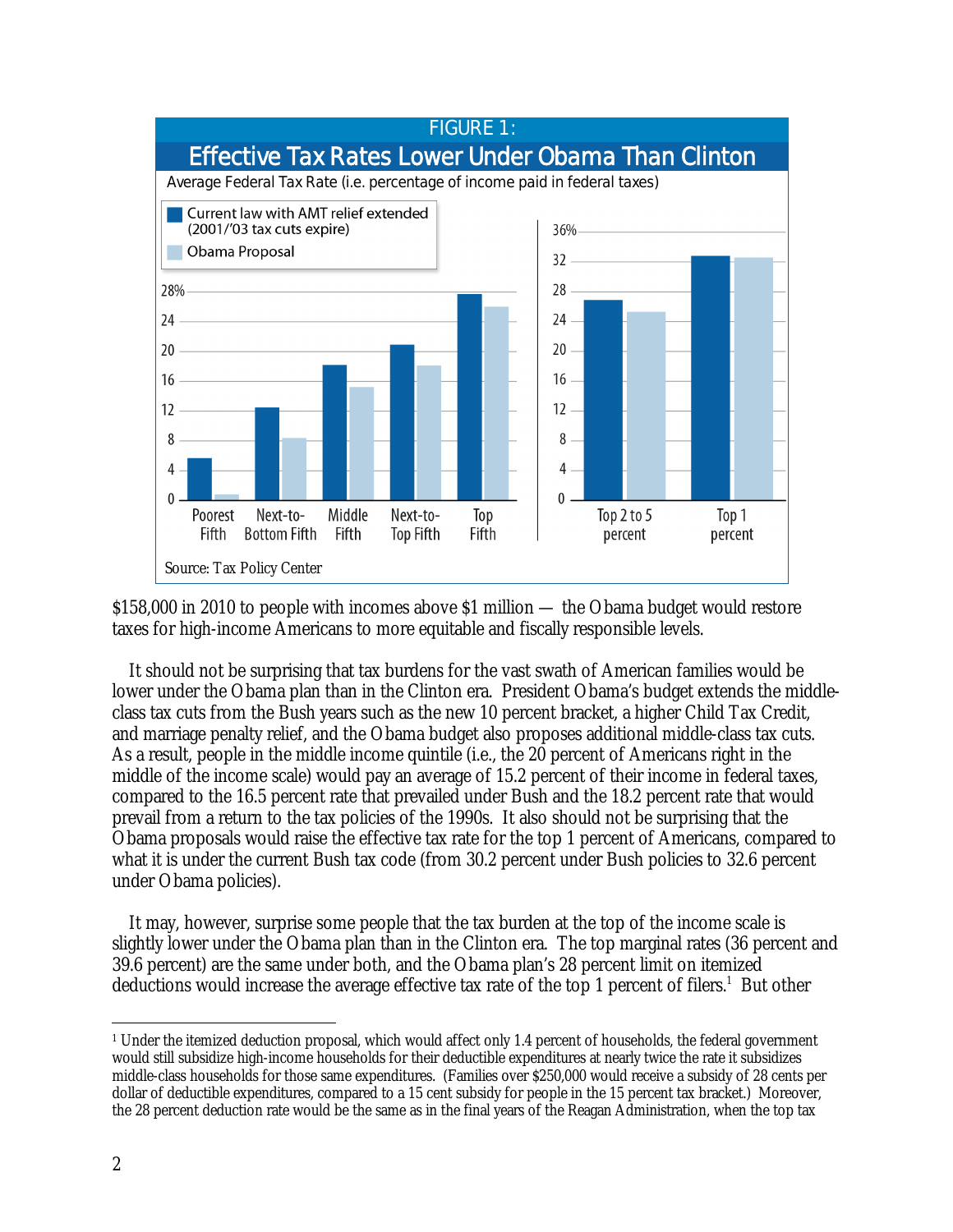

\$158,000 in 2010 to people with incomes above \$1 million — the Obama budget would restore taxes for high-income Americans to more equitable and fiscally responsible levels.

It should not be surprising that tax burdens for the vast swath of American families would be lower under the Obama plan than in the Clinton era. President Obama's budget extends the middleclass tax cuts from the Bush years such as the new 10 percent bracket, a higher Child Tax Credit, and marriage penalty relief, and the Obama budget also proposes additional middle-class tax cuts. As a result, people in the middle income quintile (i.e., the 20 percent of Americans right in the middle of the income scale) would pay an average of 15.2 percent of their income in federal taxes, compared to the 16.5 percent rate that prevailed under Bush and the 18.2 percent rate that would prevail from a return to the tax policies of the 1990s. It also should not be surprising that the Obama proposals would raise the effective tax rate for the top 1 percent of Americans, compared to what it is under the current Bush tax code (from 30.2 percent under Bush policies to 32.6 percent under Obama policies).

It may, however, surprise some people that the tax burden at the top of the income scale is slightly lower under the Obama plan than in the Clinton era. The top marginal rates (36 percent and 39.6 percent) are the same under both, and the Obama plan's 28 percent limit on itemized deductions would increase the average effective tax rate of the top 1 percent of filers.<sup>1</sup> But other

<sup>-</sup>1 Under the itemized deduction proposal, which would affect only 1.4 percent of households, the federal government would still subsidize high-income households for their deductible expenditures at nearly twice the rate it subsidizes middle-class households for those same expenditures. (Families over \$250,000 would receive a subsidy of 28 cents per dollar of deductible expenditures, compared to a 15 cent subsidy for people in the 15 percent tax bracket.) Moreover, the 28 percent deduction rate would be the same as in the final years of the Reagan Administration, when the top tax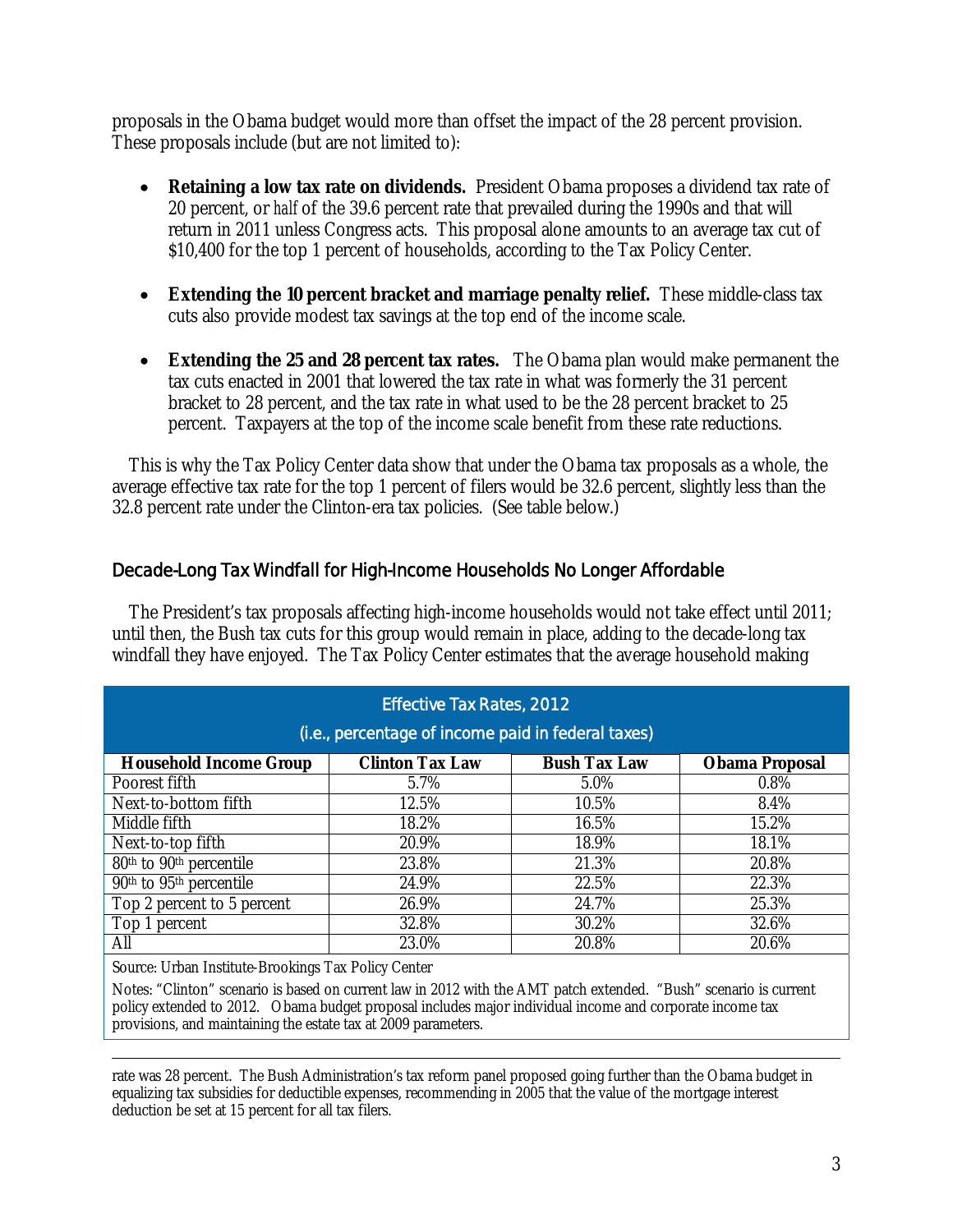proposals in the Obama budget would more than offset the impact of the 28 percent provision. These proposals include (but are not limited to):

- **Retaining a low tax rate on dividends.** President Obama proposes a dividend tax rate of 20 percent, or *half* of the 39.6 percent rate that prevailed during the 1990s and that will return in 2011 unless Congress acts. This proposal alone amounts to an average tax cut of \$10,400 for the top 1 percent of households, according to the Tax Policy Center.
- **Extending the 10 percent bracket and marriage penalty relief.** These middle-class tax cuts also provide modest tax savings at the top end of the income scale.
- **Extending the 25 and 28 percent tax rates.** The Obama plan would make permanent the tax cuts enacted in 2001 that lowered the tax rate in what was formerly the 31 percent bracket to 28 percent, and the tax rate in what used to be the 28 percent bracket to 25 percent. Taxpayers at the top of the income scale benefit from these rate reductions.

This is why the Tax Policy Center data show that under the Obama tax proposals as a whole, the average effective tax rate for the top 1 percent of filers would be 32.6 percent, slightly less than the 32.8 percent rate under the Clinton-era tax policies. (See table below.)

## Decade-Long Tax Windfall for High-Income Households No Longer Affordable

The President's tax proposals affecting high-income households would not take effect until 2011; until then, the Bush tax cuts for this group would remain in place, adding to the decade-long tax windfall they have enjoyed. The Tax Policy Center estimates that the average household making

| <b>Effective Tax Rates, 2012</b><br>(i.e., percentage of income paid in federal taxes) |                        |                     |                       |
|----------------------------------------------------------------------------------------|------------------------|---------------------|-----------------------|
| <b>Household Income Group</b>                                                          | <b>Clinton Tax Law</b> | <b>Bush Tax Law</b> | <b>Obama Proposal</b> |
| Poorest fifth                                                                          | 5.7%                   | 5.0%                | 0.8%                  |
| Next-to-bottom fifth                                                                   | 12.5%                  | 10.5%               | 8.4%                  |
| Middle fifth                                                                           | 18.2%                  | 16.5%               | 15.2%                 |
| Next-to-top fifth                                                                      | 20.9%                  | 18.9%               | 18.1%                 |
| $\overline{80^{th}}$ to 90 <sup>th</sup> percentile                                    | 23.8%                  | 21.3%               | 20.8%                 |
| $\overline{90^{th}}$ to $\overline{95^{th}}$ percentile                                | 24.9%                  | 22.5%               | 22.3%                 |
| Top 2 percent to 5 percent                                                             | 26.9%                  | 24.7%               | 25.3%                 |
| Top 1 percent                                                                          | 32.8%                  | 30.2%               | 32.6%                 |
| All                                                                                    | 23.0%                  | 20.8%               | 20.6%                 |

Source: Urban Institute-Brookings Tax Policy Center

Notes: "Clinton" scenario is based on current law in 2012 with the AMT patch extended. "Bush" scenario is current policy extended to 2012. Obama budget proposal includes major individual income and corporate income tax provisions, and maintaining the estate tax at 2009 parameters.

 rate was 28 percent. The Bush Administration's tax reform panel proposed going further than the Obama budget in equalizing tax subsidies for deductible expenses, recommending in 2005 that the value of the mortgage interest deduction be set at 15 percent for all tax filers.